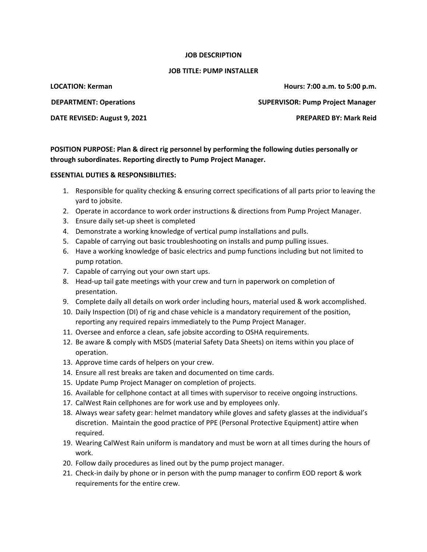## **JOB DESCRIPTION**

## **JOB TITLE: PUMP INSTALLER**

**LOCATION: Kerman Hours: 7:00 a.m. to 5:00 p.m.**

**DEPARTMENT: Operations SUPERVISOR: Pump Project Manager**

**DATE REVISED: August 9, 2021 PREPARED BY: Mark Reid** 

**POSITION PURPOSE: Plan & direct rig personnel by performing the following duties personally or through subordinates. Reporting directly to Pump Project Manager.**

## **ESSENTIAL DUTIES & RESPONSIBILITIES:**

- 1. Responsible for quality checking & ensuring correct specifications of all parts prior to leaving the yard to jobsite.
- 2. Operate in accordance to work order instructions & directions from Pump Project Manager.
- 3. Ensure daily set-up sheet is completed
- 4. Demonstrate a working knowledge of vertical pump installations and pulls.
- 5. Capable of carrying out basic troubleshooting on installs and pump pulling issues.
- 6. Have a working knowledge of basic electrics and pump functions including but not limited to pump rotation.
- 7. Capable of carrying out your own start ups.
- 8. Head-up tail gate meetings with your crew and turn in paperwork on completion of presentation.
- 9. Complete daily all details on work order including hours, material used & work accomplished.
- 10. Daily Inspection (DI) of rig and chase vehicle is a mandatory requirement of the position, reporting any required repairs immediately to the Pump Project Manager.
- 11. Oversee and enforce a clean, safe jobsite according to OSHA requirements.
- 12. Be aware & comply with MSDS (material Safety Data Sheets) on items within you place of operation.
- 13. Approve time cards of helpers on your crew.
- 14. Ensure all rest breaks are taken and documented on time cards.
- 15. Update Pump Project Manager on completion of projects.
- 16. Available for cellphone contact at all times with supervisor to receive ongoing instructions.
- 17. CalWest Rain cellphones are for work use and by employees only.
- 18. Always wear safety gear: helmet mandatory while gloves and safety glasses at the individual's discretion. Maintain the good practice of PPE (Personal Protective Equipment) attire when required.
- 19. Wearing CalWest Rain uniform is mandatory and must be worn at all times during the hours of work.
- 20. Follow daily procedures as lined out by the pump project manager.
- 21. Check-in daily by phone or in person with the pump manager to confirm EOD report & work requirements for the entire crew.